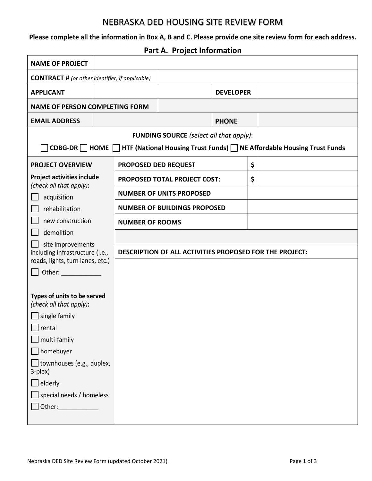### NEBRASKA DED HOUSING SITE REVIEW FORM

Please complete all the information in Box A, B and C. Please provide one site review form for each address.

Part A. Project Information

| <b>NAME OF PROJECT</b>                                                                   |  |                                                         |  |                  |              |  |  |  |  |
|------------------------------------------------------------------------------------------|--|---------------------------------------------------------|--|------------------|--------------|--|--|--|--|
| <b>CONTRACT #</b> (or other identifier, if applicable)                                   |  |                                                         |  |                  |              |  |  |  |  |
| <b>APPLICANT</b>                                                                         |  |                                                         |  | <b>DEVELOPER</b> |              |  |  |  |  |
| <b>NAME OF PERSON COMPLETING FORM</b>                                                    |  |                                                         |  |                  |              |  |  |  |  |
| <b>EMAIL ADDRESS</b>                                                                     |  |                                                         |  |                  | <b>PHONE</b> |  |  |  |  |
| <b>FUNDING SOURCE</b> (select all that apply):                                           |  |                                                         |  |                  |              |  |  |  |  |
| CDBG-DR HOME HTF (National Housing Trust Funds) NE Affordable Housing Trust Funds        |  |                                                         |  |                  |              |  |  |  |  |
| <b>PROJECT OVERVIEW</b>                                                                  |  | PROPOSED DED REQUEST                                    |  |                  | \$           |  |  |  |  |
| <b>Project activities include</b>                                                        |  | PROPOSED TOTAL PROJECT COST:                            |  |                  | \$           |  |  |  |  |
| (check all that apply):                                                                  |  | <b>NUMBER OF UNITS PROPOSED</b>                         |  |                  |              |  |  |  |  |
| acquisition<br>rehabilitation                                                            |  | <b>NUMBER OF BUILDINGS PROPOSED</b>                     |  |                  |              |  |  |  |  |
| new construction                                                                         |  | <b>NUMBER OF ROOMS</b>                                  |  |                  |              |  |  |  |  |
| demolition                                                                               |  |                                                         |  |                  |              |  |  |  |  |
| site improvements<br>including infrastructure (i.e.,<br>roads, lights, turn lanes, etc.) |  | DESCRIPTION OF ALL ACTIVITIES PROPOSED FOR THE PROJECT: |  |                  |              |  |  |  |  |
| Other: _____________                                                                     |  |                                                         |  |                  |              |  |  |  |  |
|                                                                                          |  |                                                         |  |                  |              |  |  |  |  |
| Types of units to be served<br>(check all that apply):                                   |  |                                                         |  |                  |              |  |  |  |  |
| $\lfloor$ single family                                                                  |  |                                                         |  |                  |              |  |  |  |  |
| $\Box$ rental                                                                            |  |                                                         |  |                  |              |  |  |  |  |
| multi-family<br>$\Box$                                                                   |  |                                                         |  |                  |              |  |  |  |  |
| homebuyer<br>$\overline{\mathbb{C}}$                                                     |  |                                                         |  |                  |              |  |  |  |  |
| townhouses (e.g., duplex,<br>3-plex)                                                     |  |                                                         |  |                  |              |  |  |  |  |
| elderly                                                                                  |  |                                                         |  |                  |              |  |  |  |  |
| special needs / homeless                                                                 |  |                                                         |  |                  |              |  |  |  |  |
| Other:______________                                                                     |  |                                                         |  |                  |              |  |  |  |  |
|                                                                                          |  |                                                         |  |                  |              |  |  |  |  |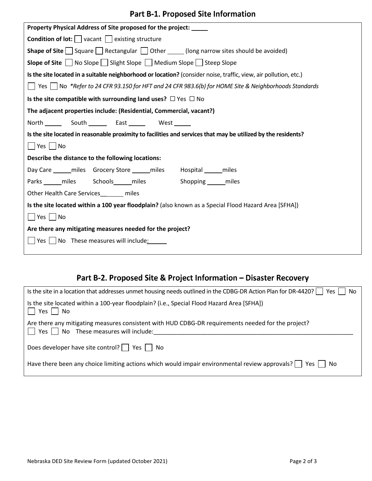### Part B-1. Proposed Site Information

| Property Physical Address of Site proposed for the project:                                                               |  |  |  |  |
|---------------------------------------------------------------------------------------------------------------------------|--|--|--|--|
| <b>Condition of lot:</b> $\Box$ vacant $\Box$ existing structure                                                          |  |  |  |  |
| <b>Shape of Site</b> $\Box$ Square $\Box$ Rectangular $\Box$ Other $\Box$ (long narrow sites should be avoided)           |  |  |  |  |
| Slope of Site ■ No Slope ■ Slight Slope ■ Medium Slope ■ Steep Slope                                                      |  |  |  |  |
| Is the site located in a suitable neighborhood or location? (consider noise, traffic, view, air pollution, etc.)          |  |  |  |  |
| $ \;\; $ Yes $ \;\; $ No $\;$ *Refer to 24 CFR 93.150 for HFT and 24 CFR 983.6(b) for HOME Site & Neighborhoods Standards |  |  |  |  |
| Is the site compatible with surrounding land uses? $\Box$ Yes $\Box$ No                                                   |  |  |  |  |
| The adjacent properties include: (Residential, Commercial, vacant?)                                                       |  |  |  |  |
| North __________ South __________ East _____________ West _______                                                         |  |  |  |  |
| Is the site located in reasonable proximity to facilities and services that may be utilized by the residents?             |  |  |  |  |
| Yes No                                                                                                                    |  |  |  |  |
| Describe the distance to the following locations:                                                                         |  |  |  |  |
| Day Care ______ miles  Grocery Store ______ miles  Hospital ______ miles                                                  |  |  |  |  |
| Parks miles Schools miles Shopping miles                                                                                  |  |  |  |  |
| Other Health Care Services ______ miles                                                                                   |  |  |  |  |
| Is the site located within a 100 year floodplain? (also known as a Special Flood Hazard Area [SFHA])                      |  |  |  |  |
| Yes    No                                                                                                                 |  |  |  |  |
| Are there any mitigating measures needed for the project?                                                                 |  |  |  |  |
| $\Box$ Yes $\Box$ No These measures will include:                                                                         |  |  |  |  |

# Part B-2. Proposed Site & Project Information - Disaster Recovery

| Is the site in a location that addresses unmet housing needs outlined in the CDBG-DR Action Plan for DR-4420? $\Box$ Yes<br>No.                         |  |  |  |  |
|---------------------------------------------------------------------------------------------------------------------------------------------------------|--|--|--|--|
| Is the site located within a 100-year floodplain? (i.e., Special Flood Hazard Area [SFHA])<br>$\vert$   Yes $\vert$ No                                  |  |  |  |  |
| Are there any mitigating measures consistent with HUD CDBG-DR requirements needed for the project?<br>$\Box$ Yes $\Box$ No These measures will include: |  |  |  |  |
| Does developer have site control? $\Box$ Yes $\Box$ No                                                                                                  |  |  |  |  |
| Have there been any choice limiting actions which would impair environmental review approvals? $\vert \vert$ Yes $\vert \vert$ No                       |  |  |  |  |